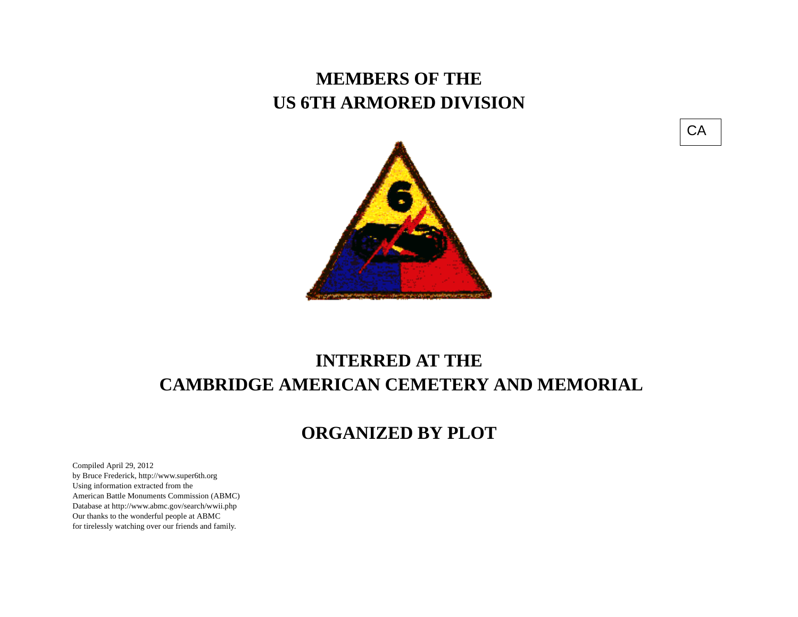## **MEMBERS OF THE US 6TH ARMORED DIVISION**





## **INTERRED AT THE CAMBRIDGE AMERICAN CEMETERY AND MEMORIAL**

## **ORGANIZED BY PLOT**

Compiled April 29, 2012 by Bruce Frederick, http://www.super6th.orgUsing information extracted from the American Battle Monuments Commission (ABMC) Database at http://www.abmc.gov/search/wwii.phpOur thanks to the wonderful people at ABMC for tirelessly watching over our friends and family.